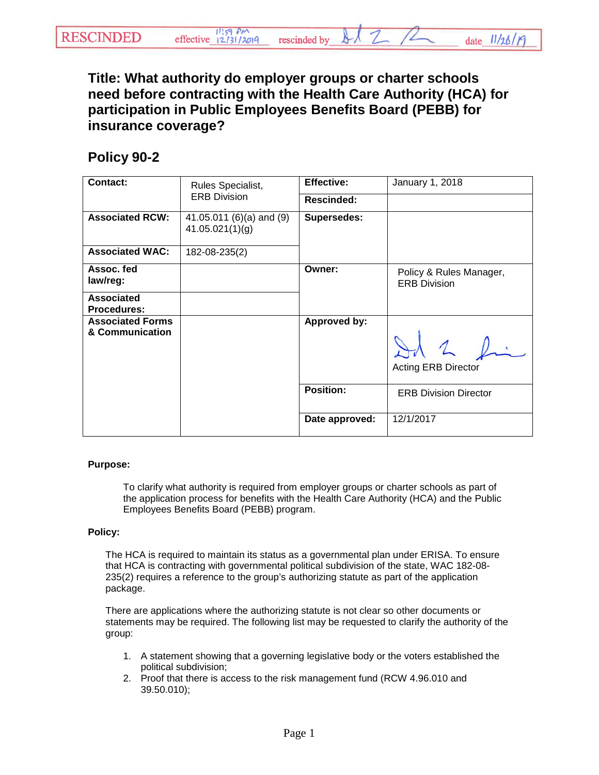**Title: What authority do employer groups or charter schools need before contracting with the Health Care Authority (HCA) for participation in Public Employees Benefits Board (PEBB) for insurance coverage?** 

## **Policy 90-2**

| Contact:                                   | Rules Specialist,<br><b>ERB Division</b>    | <b>Effective:</b>  | January 1, 2018                                |
|--------------------------------------------|---------------------------------------------|--------------------|------------------------------------------------|
|                                            |                                             | Rescinded:         |                                                |
| <b>Associated RCW:</b>                     | 41.05.011 (6)(a) and (9)<br>41.05.021(1)(g) | <b>Supersedes:</b> |                                                |
| <b>Associated WAC:</b>                     | 182-08-235(2)                               |                    |                                                |
| Assoc. fed<br>law/reg:                     |                                             | Owner:             | Policy & Rules Manager,<br><b>ERB Division</b> |
| <b>Associated</b><br><b>Procedures:</b>    |                                             |                    |                                                |
| <b>Associated Forms</b><br>& Communication |                                             | Approved by:       | $12 \cdot$<br><b>Acting ERB Director</b>       |
|                                            |                                             | <b>Position:</b>   | <b>ERB Division Director</b>                   |
|                                            |                                             | Date approved:     | 12/1/2017                                      |

## **Purpose:**

To clarify what authority is required from employer groups or charter schools as part of the application process for benefits with the Health Care Authority (HCA) and the Public Employees Benefits Board (PEBB) program.

## **Policy:**

The HCA is required to maintain its status as a governmental plan under ERISA. To ensure that HCA is contracting with governmental political subdivision of the state, WAC 182-08- 235(2) requires a reference to the group's authorizing statute as part of the application package.

There are applications where the authorizing statute is not clear so other documents or statements may be required. The following list may be requested to clarify the authority of the group:

- 1. A statement showing that a governing legislative body or the voters established the political subdivision;
- 2. Proof that there is access to the risk management fund (RCW 4.96.010 and 39.50.010);